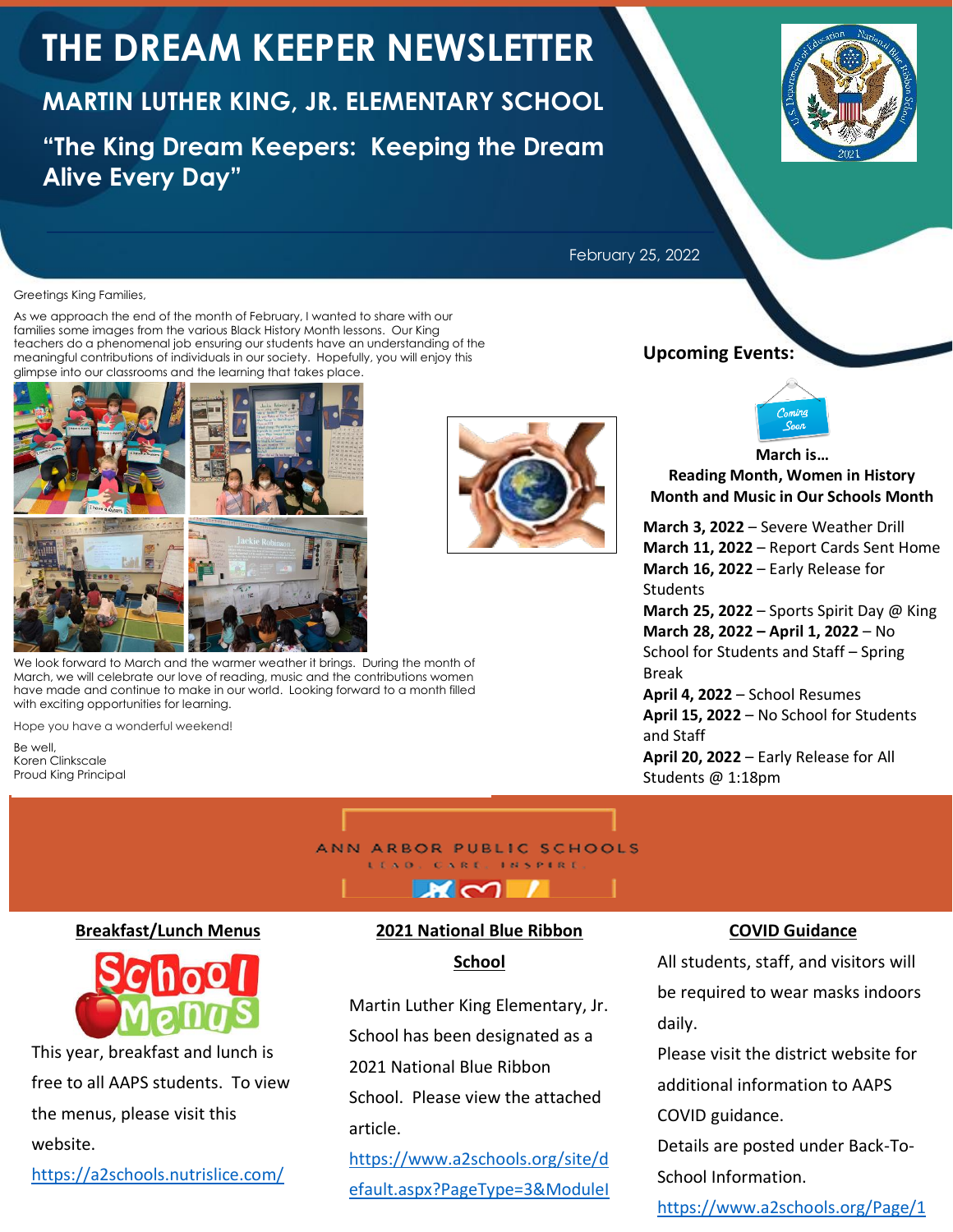# **THE DREAM KEEPER NEWSLETTER**

# **MARTIN LUTHER KING, JR. ELEMENTARY SCHOOL**

**"The King Dream Keepers: Keeping the Dream Alive Every Day"**



February 25, 2022

#### Greetings King Families,

As we approach the end of the month of February, I wanted to share with our families some images from the various Black History Month lessons. Our King teachers do a phenomenal job ensuring our students have an understanding of the meaningful contributions of individuals in our society. Hopefully, you will enjoy this glimpse into our classrooms and the learning that takes place.



We look forward to March and the warmer weather it brings. During the month of March, we will celebrate our love of reading, music and the contributions women have made and continue to make in our world. Looking forward to a month filled with exciting opportunities for learning.

Hope you have a wonderful weekend!

Be well, Koren Clinkscale Proud King Principal

#### ANN ARBOR PUBLIC SCHOOLS LEAD. CARE, INSPIRE

**Breakfast/Lunch Menus**



This year, breakfast and lunch is free to all AAPS students. To view the menus, please visit this website.

<https://a2schools.nutrislice.com/>

#### **2021 National Blue Ribbon**

 $\boldsymbol{\kappa} \sim$ 

**School**

Martin Luther King Elementary, Jr. School has been designated as a 2021 National Blue Ribbon School. Please view the attached article.

[https://www.a2schools.org/site/d](https://www.a2schools.org/site/default.aspx?PageType=3&ModuleInstanceID=17841&ViewID=7b97f7ed-8e5e-4120-848f-a8b4987d588f&RenderLoc=0&FlexDataID=20897&PageID=11460) [efault.aspx?PageType=3&ModuleI](https://www.a2schools.org/site/default.aspx?PageType=3&ModuleInstanceID=17841&ViewID=7b97f7ed-8e5e-4120-848f-a8b4987d588f&RenderLoc=0&FlexDataID=20897&PageID=11460)

#### **COVID Guidance**

All students, staff, and visitors will be required to wear masks indoors daily.

Please visit the district website for additional information to AAPS COVID guidance.

Details are posted under Back-To-School Information.

[https://www.a2schools.org/Page/1](https://www.a2schools.org/Page/17466)

#### **Upcoming Events:**



**March is… Reading Month, Women in History Month and Music in Our Schools Month**

**March 3, 2022** – Severe Weather Drill **March 11, 2022** – Report Cards Sent Home **March 16, 2022** – Early Release for Students

**March 25, 2022** – Sports Spirit Day @ King **March 28, 2022 – April 1, 2022** – No School for Students and Staff – Spring Break

**April 4, 2022** – School Resumes **April 15, 2022** – No School for Students and Staff **April 20, 2022** – Early Release for All Students @ 1:18pm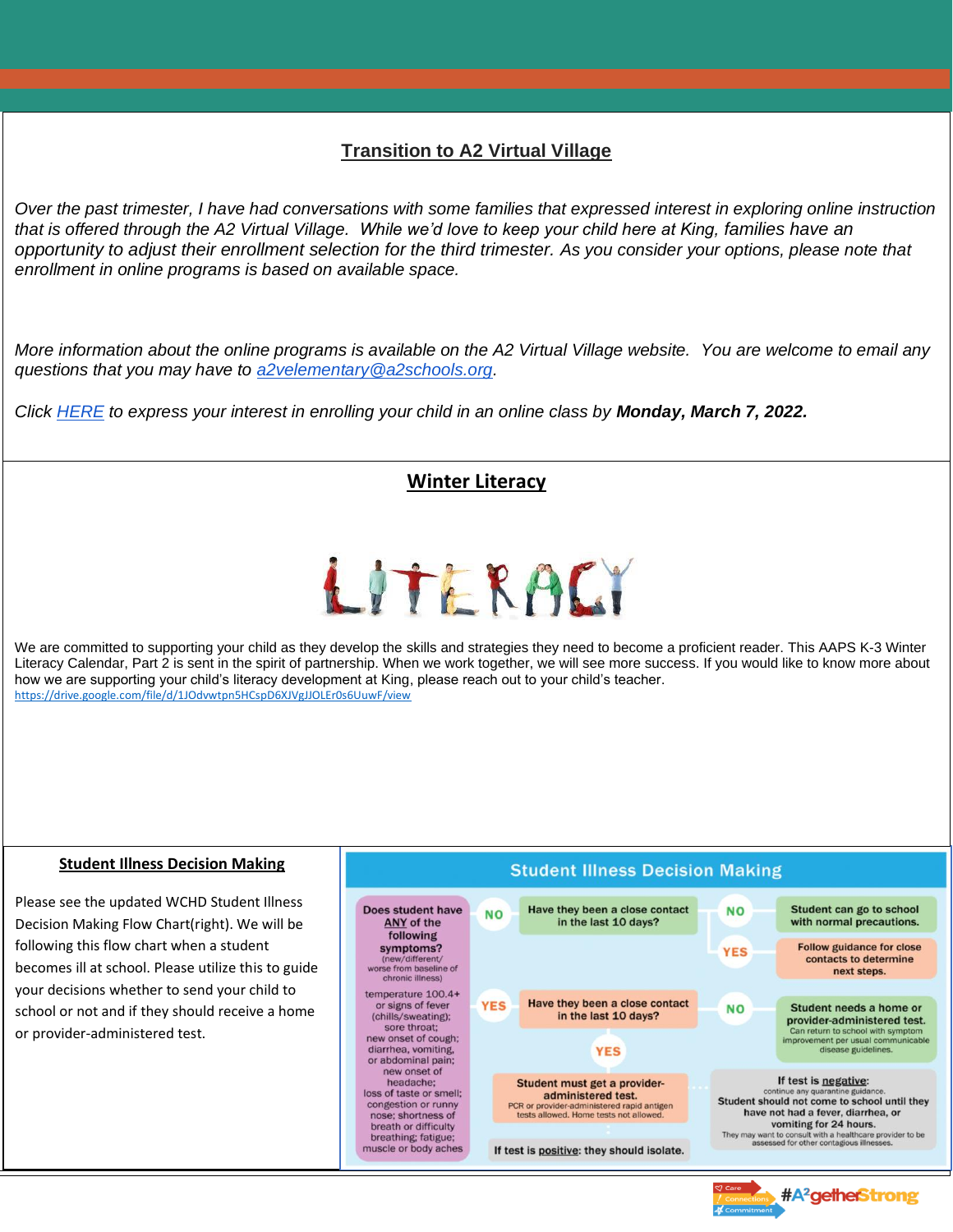# **Transition to A2 Virtual Village**

*Over the past trimester, I have had conversations with some families that expressed interest in exploring online instruction that is offered through the A2 Virtual Village. While we'd love to keep your child here at King, families have an opportunity to adjust their enrollment selection for the third trimester. As you consider your options, please note that enrollment in online programs is based on available space.*

*More information about the online programs is available on the A2 Virtual Village website. You are welcome to email any questions that you may have to [a2velementary@a2schools.org.](mailto:a2velementary@a2schools.org)*

*Click [HERE](https://forms.gle/i2y44npcdT4oJVzr9) to express your interest in enrolling your child in an online class by Monday, March 7, 2022.* 

### **Winter Literacy**

# LITERACI

We are committed to supporting your child as they develop the skills and strategies they need to become a proficient reader. This AAPS K-3 Winter Literacy Calendar, Part 2 is sent in the spirit of partnership. When we work together, we will see more success. If you would like to know more about how we are supporting your child's literacy development at King, please reach out to your child's teacher. <https://drive.google.com/file/d/1JOdvwtpn5HCspD6XJVgJJOLEr0s6UuwF/view>

#### **Student Illness Decision Making**

Please see the updated WCHD Student Illness Decision Making Flow Chart(right). We will be following this flow chart when a student becomes ill at school. Please utilize this to guide your decisions whether to send your child to school or not and if they should receive a home or provider-administered test.